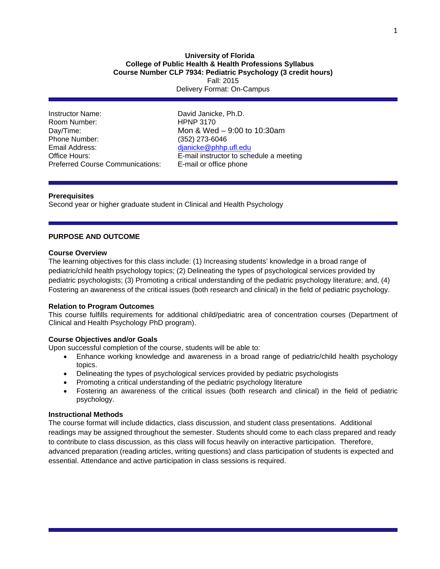## **University of Florida College of Public Health & Health Professions Syllabus Course Number CLP 7934: Pediatric Psychology (3 credit hours)**  Fall: 2015 Delivery Format: On-Campus

Instructor Name: David Janicke, Ph.D. Room Number: HPNP 3170 Day/Time: Mon & Wed – 9:00 to 10:30am Phone Number: (352) 273-6046<br>Email Address: (and a complete dianicke@phhp) Preferred Course Communications: E-mail or office phone

djanicke@phhp.ufl.edu Office Hours: E-mail instructor to schedule a meeting

## **Prerequisites**

Second year or higher graduate student in Clinical and Health Psychology

## **PURPOSE AND OUTCOME**

#### **Course Overview**

The learning objectives for this class include: (1) Increasing students' knowledge in a broad range of pediatric/child health psychology topics; (2) Delineating the types of psychological services provided by pediatric psychologists; (3) Promoting a critical understanding of the pediatric psychology literature; and, (4) Fostering an awareness of the critical issues (both research and clinical) in the field of pediatric psychology.

#### **Relation to Program Outcomes**

This course fulfills requirements for additional child/pediatric area of concentration courses (Department of Clinical and Health Psychology PhD program).

## **Course Objectives and/or Goals**

Upon successful completion of the course, students will be able to:

- Enhance working knowledge and awareness in a broad range of pediatric/child health psychology topics.
- Delineating the types of psychological services provided by pediatric psychologists
- Promoting a critical understanding of the pediatric psychology literature
- Fostering an awareness of the critical issues (both research and clinical) in the field of pediatric psychology.

## **Instructional Methods**

The course format will include didactics, class discussion, and student class presentations. Additional readings may be assigned throughout the semester. Students should come to each class prepared and ready to contribute to class discussion, as this class will focus heavily on interactive participation. Therefore, advanced preparation (reading articles, writing questions) and class participation of students is expected and essential. Attendance and active participation in class sessions is required.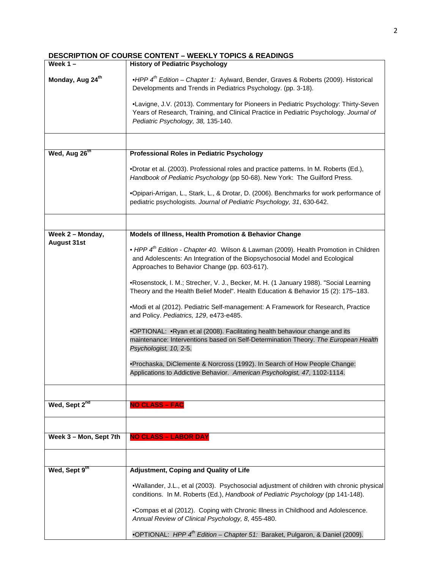# **DESCRIPTION OF COURSE CONTENT – WEEKLY TOPICS & READINGS**

| Week $1 -$                             | <b>History of Pediatric Psychology</b>                                                                                                                                                                                          |  |  |  |  |  |
|----------------------------------------|---------------------------------------------------------------------------------------------------------------------------------------------------------------------------------------------------------------------------------|--|--|--|--|--|
| Monday, Aug 24 <sup>th</sup>           | •HPP $4th$ Edition – Chapter 1: Aylward, Bender, Graves & Roberts (2009). Historical<br>Developments and Trends in Pediatrics Psychology. (pp. 3-18).                                                                           |  |  |  |  |  |
|                                        | •Lavigne, J.V. (2013). Commentary for Pioneers in Pediatric Psychology: Thirty-Seven<br>Years of Research, Training, and Clinical Practice in Pediatric Psychology. Journal of<br>Pediatric Psychology, 38, 135-140.            |  |  |  |  |  |
|                                        |                                                                                                                                                                                                                                 |  |  |  |  |  |
| Wed, Aug 26th                          | <b>Professional Roles in Pediatric Psychology</b>                                                                                                                                                                               |  |  |  |  |  |
|                                        | •Drotar et al. (2003). Professional roles and practice patterns. In M. Roberts (Ed.),<br>Handbook of Pediatric Psychology (pp 50-68). New York: The Guilford Press.                                                             |  |  |  |  |  |
|                                        | •Opipari-Arrigan, L., Stark, L., & Drotar, D. (2006). Benchmarks for work performance of<br>pediatric psychologists. Journal of Pediatric Psychology, 31, 630-642.                                                              |  |  |  |  |  |
|                                        |                                                                                                                                                                                                                                 |  |  |  |  |  |
| Week 2 - Monday,<br><b>August 31st</b> | Models of Illness, Health Promotion & Behavior Change                                                                                                                                                                           |  |  |  |  |  |
|                                        | • HPP 4 <sup>th</sup> Edition - Chapter 40. Wilson & Lawman (2009). Health Promotion in Children<br>and Adolescents: An Integration of the Biopsychosocial Model and Ecological<br>Approaches to Behavior Change (pp. 603-617). |  |  |  |  |  |
|                                        | •Rosenstock, I. M.; Strecher, V. J., Becker, M. H. (1 January 1988). "Social Learning<br>Theory and the Health Belief Model". Health Education & Behavior 15 (2): 175-183.                                                      |  |  |  |  |  |
|                                        | •Modi et al (2012). Pediatric Self-management: A Framework for Research, Practice<br>and Policy. Pediatrics, 129, e473-e485.                                                                                                    |  |  |  |  |  |
|                                        | .OPTIONAL: . Ryan et al (2008). Facilitating health behaviour change and its<br>maintenance: Interventions based on Self-Determination Theory. The European Health<br>Psychologist, 10, 2-5.                                    |  |  |  |  |  |
|                                        | •Prochaska, DiClemente & Norcross (1992). In Search of How People Change:<br>Applications to Addictive Behavior. American Psychologist, 47, 1102-1114.                                                                          |  |  |  |  |  |
|                                        |                                                                                                                                                                                                                                 |  |  |  |  |  |
| Wed, Sept 2 <sup>nd</sup>              | <b>NO CLASS - FAC</b>                                                                                                                                                                                                           |  |  |  |  |  |
|                                        |                                                                                                                                                                                                                                 |  |  |  |  |  |
| Week 3 - Mon, Sept 7th                 | <b>NO CLASS - LABOR DAY</b>                                                                                                                                                                                                     |  |  |  |  |  |
|                                        |                                                                                                                                                                                                                                 |  |  |  |  |  |
| Wed, Sept 9th                          | <b>Adjustment, Coping and Quality of Life</b>                                                                                                                                                                                   |  |  |  |  |  |
|                                        | .Wallander, J.L., et al (2003). Psychosocial adjustment of children with chronic physical<br>conditions. In M. Roberts (Ed.), Handbook of Pediatric Psychology (pp 141-148).                                                    |  |  |  |  |  |
|                                        | •Compas et al (2012). Coping with Chronic Illness in Childhood and Adolescence.<br>Annual Review of Clinical Psychology, 8, 455-480.                                                                                            |  |  |  |  |  |
|                                        | •OPTIONAL: HPP $4^{\text{th}}$ Edition – Chapter 51: Baraket, Pulgaron, & Daniel (2009).                                                                                                                                        |  |  |  |  |  |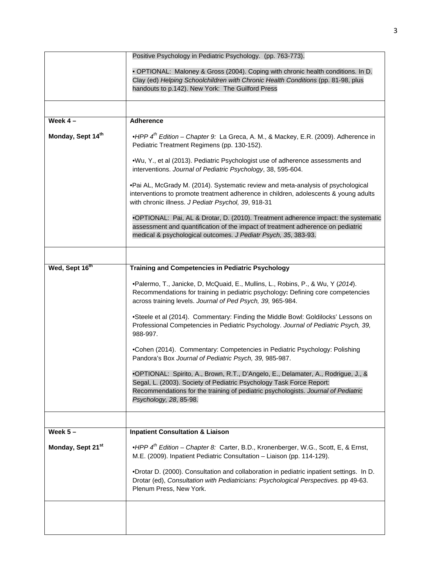|                               | Positive Psychology in Pediatric Psychology. (pp. 763-773).                                                                                                                                                                                                              |
|-------------------------------|--------------------------------------------------------------------------------------------------------------------------------------------------------------------------------------------------------------------------------------------------------------------------|
|                               | . OPTIONAL: Maloney & Gross (2004). Coping with chronic health conditions. In D.<br>Clay (ed) Helping Schoolchildren with Chronic Health Conditions (pp. 81-98, plus<br>handouts to p.142). New York: The Guilford Press                                                 |
|                               |                                                                                                                                                                                                                                                                          |
| Week $4-$                     | <b>Adherence</b>                                                                                                                                                                                                                                                         |
| Monday, Sept 14th             | •HPP 4 <sup>th</sup> Edition - Chapter 9: La Greca, A. M., & Mackey, E.R. (2009). Adherence in<br>Pediatric Treatment Regimens (pp. 130-152).                                                                                                                            |
|                               | .Wu, Y., et al (2013). Pediatric Psychologist use of adherence assessments and<br>interventions. Journal of Pediatric Psychology, 38, 595-604.                                                                                                                           |
|                               | •Pai AL, McGrady M. (2014). Systematic review and meta-analysis of psychological<br>interventions to promote treatment adherence in children, adolescents & young adults<br>with chronic illness. J Pediatr Psychol, 39, 918-31                                          |
|                               | •OPTIONAL: Pai, AL & Drotar, D. (2010). Treatment adherence impact: the systematic<br>assessment and quantification of the impact of treatment adherence on pediatric<br>medical & psychological outcomes. J Pediatr Psych, 35, 383-93.                                  |
|                               |                                                                                                                                                                                                                                                                          |
| Wed, Sept 16 <sup>th</sup>    | <b>Training and Competencies in Pediatric Psychology</b>                                                                                                                                                                                                                 |
|                               | .Palermo, T., Janicke, D, McQuaid, E., Mullins, L., Robins, P., & Wu, Y (2014).<br>Recommendations for training in pediatric psychology: Defining core competencies<br>across training levels. Journal of Ped Psych, 39, 965-984.                                        |
|                               | •Steele et al (2014). Commentary: Finding the Middle Bowl: Goldilocks' Lessons on<br>Professional Competencies in Pediatric Psychology. Journal of Pediatric Psych, 39,<br>988-997.                                                                                      |
|                               | .Cohen (2014). Commentary: Competencies in Pediatric Psychology: Polishing<br>Pandora's Box Journal of Pediatric Psych, 39, 985-987.                                                                                                                                     |
|                               | •OPTIONAL: Spirito, A., Brown, R.T., D'Angelo, E., Delamater, A., Rodrigue, J., &<br>Segal, L. (2003). Society of Pediatric Psychology Task Force Report:<br>Recommendations for the training of pediatric psychologists. Journal of Pediatric<br>Psychology, 28, 85-98. |
|                               |                                                                                                                                                                                                                                                                          |
| Week $5-$                     | <b>Inpatient Consultation &amp; Liaison</b>                                                                                                                                                                                                                              |
| Monday, Sept 21 <sup>st</sup> | • HPP $4^{th}$ Edition – Chapter 8: Carter, B.D., Kronenberger, W.G., Scott, E, & Ernst,<br>M.E. (2009). Inpatient Pediatric Consultation - Liaison (pp. 114-129).                                                                                                       |
|                               | •Drotar D. (2000). Consultation and collaboration in pediatric inpatient settings. In D.<br>Drotar (ed), Consultation with Pediatricians: Psychological Perspectives. pp 49-63.<br>Plenum Press, New York.                                                               |
|                               |                                                                                                                                                                                                                                                                          |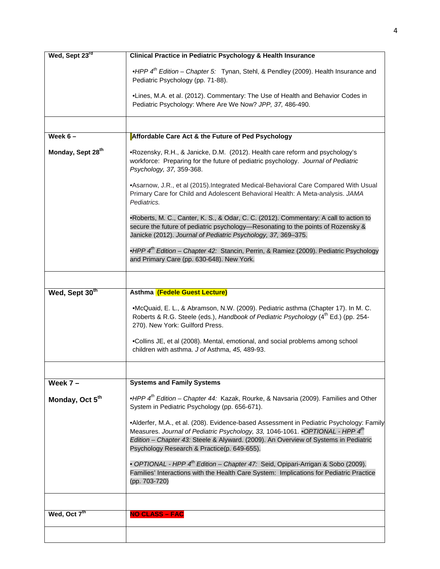| Wed, Sept 23rd                | <b>Clinical Practice in Pediatric Psychology &amp; Health Insurance</b>                                                                                                                                                                                                                                                      |
|-------------------------------|------------------------------------------------------------------------------------------------------------------------------------------------------------------------------------------------------------------------------------------------------------------------------------------------------------------------------|
|                               | •HPP $4^{th}$ Edition – Chapter 5: Tynan, Stehl, & Pendley (2009). Health Insurance and<br>Pediatric Psychology (pp. 71-88).                                                                                                                                                                                                 |
|                               | .Lines, M.A. et al. (2012). Commentary: The Use of Health and Behavior Codes in<br>Pediatric Psychology: Where Are We Now? JPP, 37, 486-490.                                                                                                                                                                                 |
|                               |                                                                                                                                                                                                                                                                                                                              |
| Week $6 -$                    | Affordable Care Act & the Future of Ped Psychology                                                                                                                                                                                                                                                                           |
| Monday, Sept 28 <sup>th</sup> | .Rozensky, R.H., & Janicke, D.M. (2012). Health care reform and psychology's<br>workforce: Preparing for the future of pediatric psychology. Journal of Pediatric<br>Psychology, 37, 359-368.                                                                                                                                |
|                               | •Asarnow, J.R., et al (2015). Integrated Medical-Behavioral Care Compared With Usual<br>Primary Care for Child and Adolescent Behavioral Health: A Meta-analysis. JAMA<br>Pediatrics.                                                                                                                                        |
|                               | •Roberts, M. C., Canter, K. S., & Odar, C. C. (2012). Commentary: A call to action to<br>secure the future of pediatric psychology—Resonating to the points of Rozensky &<br>Janicke (2012). Journal of Pediatric Psychology, 37, 369-375.                                                                                   |
|                               | •HPP 4 <sup>th</sup> Edition - Chapter 42: Stancin, Perrin, & Ramiez (2009). Pediatric Psychology<br>and Primary Care (pp. 630-648). New York.                                                                                                                                                                               |
|                               |                                                                                                                                                                                                                                                                                                                              |
| Wed, Sept 30th                | Asthma (Fedele Guest Lecture)                                                                                                                                                                                                                                                                                                |
|                               | •McQuaid, E. L., & Abramson, N.W. (2009). Pediatric asthma (Chapter 17). In M. C.<br>Roberts & R.G. Steele (eds.), Handbook of Pediatric Psychology (4 <sup>th</sup> Ed.) (pp. 254-<br>270). New York: Guilford Press.                                                                                                       |
|                               | .Collins JE, et al (2008). Mental, emotional, and social problems among school<br>children with asthma. J of Asthma, 45, 489-93.                                                                                                                                                                                             |
|                               |                                                                                                                                                                                                                                                                                                                              |
| Week $7 -$                    | <b>Systems and Family Systems</b>                                                                                                                                                                                                                                                                                            |
| Monday, Oct 5 <sup>th</sup>   | •HPP 4 <sup>th</sup> Edition - Chapter 44: Kazak, Rourke, & Navsaria (2009). Families and Other<br>System in Pediatric Psychology (pp. 656-671).                                                                                                                                                                             |
|                               | •Alderfer, M.A., et al. (208). Evidence-based Assessment in Pediatric Psychology: Family<br>Measures. Journal of Pediatric Psychology, 33, 1046-1061. • OPTIONAL - HPP 4 <sup>th</sup><br>Edition - Chapter 43: Steele & Alyward. (2009). An Overview of Systems in Pediatric<br>Psychology Research & Practice(p. 649-655). |
|                               | • OPTIONAL - HPP 4 <sup>th</sup> Edition – Chapter 47: Seid, Opipari-Arrigan & Sobo (2009).<br>Families' Interactions with the Health Care System: Implications for Pediatric Practice<br>(pp. 703-720)                                                                                                                      |
|                               |                                                                                                                                                                                                                                                                                                                              |
| Wed, Oct 7 <sup>th</sup>      | <b>NO CLASS - FAC</b>                                                                                                                                                                                                                                                                                                        |
|                               |                                                                                                                                                                                                                                                                                                                              |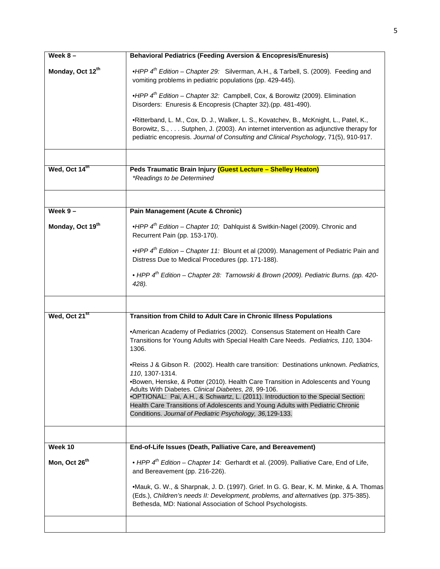| Week $8-$                    | <b>Behavioral Pediatrics (Feeding Aversion &amp; Encopresis/Enuresis)</b>                                                                                                                                                                                                                                       |  |  |  |  |  |  |
|------------------------------|-----------------------------------------------------------------------------------------------------------------------------------------------------------------------------------------------------------------------------------------------------------------------------------------------------------------|--|--|--|--|--|--|
| Monday, Oct 12 <sup>th</sup> | •HPP $4^{th}$ Edition – Chapter 29: Silverman, A.H., & Tarbell, S. (2009). Feeding and<br>vomiting problems in pediatric populations (pp. 429-445).                                                                                                                                                             |  |  |  |  |  |  |
|                              | • HPP $4^{th}$ Edition – Chapter 32: Campbell, Cox, & Borowitz (2009). Elimination<br>Disorders: Enuresis & Encopresis (Chapter 32).(pp. 481-490).                                                                                                                                                              |  |  |  |  |  |  |
|                              | •Ritterband, L. M., Cox, D. J., Walker, L. S., Kovatchev, B., McKnight, L., Patel, K.,<br>Borowitz, S., Sutphen, J. (2003). An internet intervention as adjunctive therapy for<br>pediatric encopresis. Journal of Consulting and Clinical Psychology, 71(5), 910-917.                                          |  |  |  |  |  |  |
|                              |                                                                                                                                                                                                                                                                                                                 |  |  |  |  |  |  |
| Wed, Oct 14 <sup>th</sup>    | Peds Traumatic Brain Injury (Guest Lecture - Shelley Heaton)<br>*Readings to be Determined                                                                                                                                                                                                                      |  |  |  |  |  |  |
|                              |                                                                                                                                                                                                                                                                                                                 |  |  |  |  |  |  |
| Week $9-$                    | Pain Management (Acute & Chronic)                                                                                                                                                                                                                                                                               |  |  |  |  |  |  |
| Monday, Oct 19 <sup>th</sup> | •HPP $4^{th}$ Edition – Chapter 10; Dahlquist & Switkin-Nagel (2009). Chronic and<br>Recurrent Pain (pp. 153-170).                                                                                                                                                                                              |  |  |  |  |  |  |
|                              | •HPP 4 <sup>th</sup> Edition - Chapter 11: Blount et al (2009). Management of Pediatric Pain and<br>Distress Due to Medical Procedures (pp. 171-188).                                                                                                                                                           |  |  |  |  |  |  |
|                              | • HPP 4 <sup>th</sup> Edition - Chapter 28: Tarnowski & Brown (2009). Pediatric Burns. (pp. 420-<br>428).                                                                                                                                                                                                       |  |  |  |  |  |  |
|                              |                                                                                                                                                                                                                                                                                                                 |  |  |  |  |  |  |
| Wed, Oct 21 <sup>st</sup>    | Transition from Child to Adult Care in Chronic Illness Populations                                                                                                                                                                                                                                              |  |  |  |  |  |  |
|                              | •American Academy of Pediatrics (2002). Consensus Statement on Health Care<br>Transitions for Young Adults with Special Health Care Needs. Pediatrics, 110, 1304-<br>1306.                                                                                                                                      |  |  |  |  |  |  |
|                              | .Reiss J & Gibson R. (2002). Health care transition: Destinations unknown. Pediatrics,<br>110, 1307-1314.                                                                                                                                                                                                       |  |  |  |  |  |  |
|                              | .Bowen, Henske, & Potter (2010). Health Care Transition in Adolescents and Young<br>Adults With Diabetes. Clinical Diabetes, 28, 99-106.<br>.OPTIONAL: Pai, A.H., & Schwartz, L. (2011). Introduction to the Special Section:<br>Health Care Transitions of Adolescents and Young Adults with Pediatric Chronic |  |  |  |  |  |  |
|                              | Conditions. Journal of Pediatric Psychology, 36,129-133.                                                                                                                                                                                                                                                        |  |  |  |  |  |  |
|                              |                                                                                                                                                                                                                                                                                                                 |  |  |  |  |  |  |
| Week 10                      | End-of-Life Issues (Death, Palliative Care, and Bereavement)                                                                                                                                                                                                                                                    |  |  |  |  |  |  |
| Mon, Oct 26 <sup>th</sup>    | • HPP $4^{th}$ Edition – Chapter 14: Gerhardt et al. (2009). Palliative Care, End of Life,<br>and Bereavement (pp. 216-226).                                                                                                                                                                                    |  |  |  |  |  |  |
|                              | •Mauk, G. W., & Sharpnak, J. D. (1997). Grief. In G. G. Bear, K. M. Minke, & A. Thomas<br>(Eds.), Children's needs II: Development, problems, and alternatives (pp. 375-385).<br>Bethesda, MD: National Association of School Psychologists.                                                                    |  |  |  |  |  |  |
|                              |                                                                                                                                                                                                                                                                                                                 |  |  |  |  |  |  |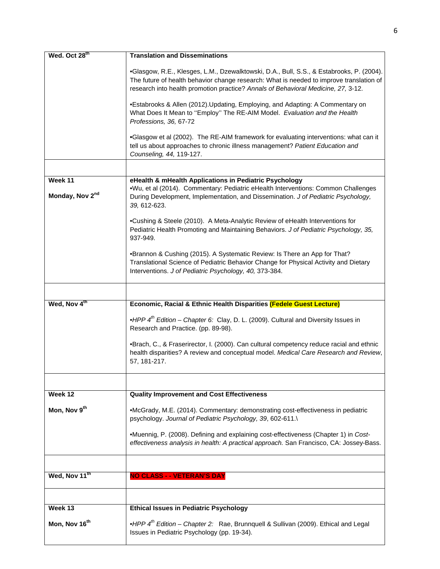| Wed. Oct 28th              | <b>Translation and Disseminations</b>                                                                                                                                                                                                                                    |
|----------------------------|--------------------------------------------------------------------------------------------------------------------------------------------------------------------------------------------------------------------------------------------------------------------------|
|                            | •Glasgow, R.E., Klesges, L.M., Dzewalktowski, D.A., Bull, S.S., & Estabrooks, P. (2004).<br>The future of health behavior change research: What is needed to improve translation of<br>research into health promotion practice? Annals of Behavioral Medicine, 27, 3-12. |
|                            | •Estabrooks & Allen (2012). Updating, Employing, and Adapting: A Commentary on<br>What Does It Mean to "Employ" The RE-AIM Model. Evaluation and the Health<br>Professions, 36, 67-72                                                                                    |
|                            | •Glasgow et al (2002). The RE-AIM framework for evaluating interventions: what can it<br>tell us about approaches to chronic illness management? Patient Education and<br>Counseling, 44, 119-127.                                                                       |
|                            |                                                                                                                                                                                                                                                                          |
| Week 11<br>Monday, Nov 2nd | eHealth & mHealth Applications in Pediatric Psychology<br>.Wu, et al (2014). Commentary: Pediatric eHealth Interventions: Common Challenges<br>During Development, Implementation, and Dissemination. J of Pediatric Psychology,<br>39, 612-623.                         |
|                            | •Cushing & Steele (2010). A Meta-Analytic Review of eHealth Interventions for<br>Pediatric Health Promoting and Maintaining Behaviors. J of Pediatric Psychology, 35,<br>937-949.                                                                                        |
|                            | •Brannon & Cushing (2015). A Systematic Review: Is There an App for That?<br>Translational Science of Pediatric Behavior Change for Physical Activity and Dietary<br>Interventions. J of Pediatric Psychology, 40, 373-384.                                              |
|                            |                                                                                                                                                                                                                                                                          |
| Wed, Nov 4th               | Economic, Racial & Ethnic Health Disparities (Fedele Guest Lecture)                                                                                                                                                                                                      |
|                            | •HPP 4 <sup>th</sup> Edition - Chapter 6: Clay, D. L. (2009). Cultural and Diversity Issues in<br>Research and Practice. (pp. 89-98).                                                                                                                                    |
|                            | •Brach, C., & Fraserirector, I. (2000). Can cultural competency reduce racial and ethnic<br>health disparities? A review and conceptual model. Medical Care Research and Review,<br>57, 181-217.                                                                         |
|                            |                                                                                                                                                                                                                                                                          |
| Week 12                    | <b>Quality Improvement and Cost Effectiveness</b>                                                                                                                                                                                                                        |
| Mon, Nov 9 <sup>th</sup>   | •McGrady, M.E. (2014). Commentary: demonstrating cost-effectiveness in pediatric<br>psychology. Journal of Pediatric Psychology, 39, 602-611.\                                                                                                                           |
|                            | •Muennig, P. (2008). Defining and explaining cost-effectiveness (Chapter 1) in Cost-<br>effectiveness analysis in health: A practical approach. San Francisco, CA: Jossey-Bass.                                                                                          |
|                            |                                                                                                                                                                                                                                                                          |
| Wed, Nov 11th              | <b>NO CLASS - - VETERAN'S DAY</b>                                                                                                                                                                                                                                        |
|                            |                                                                                                                                                                                                                                                                          |
| Week 13                    | <b>Ethical Issues in Pediatric Psychology</b>                                                                                                                                                                                                                            |
| Mon, Nov 16 <sup>th</sup>  | •HPP 4 <sup>th</sup> Edition - Chapter 2: Rae, Brunnquell & Sullivan (2009). Ethical and Legal<br>Issues in Pediatric Psychology (pp. 19-34).                                                                                                                            |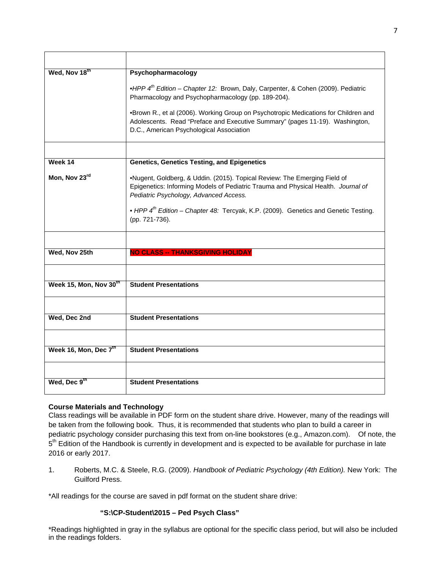| Wed, Nov 18th          | Psychopharmacology                                                                                                                                                                                                                                                                                                            |
|------------------------|-------------------------------------------------------------------------------------------------------------------------------------------------------------------------------------------------------------------------------------------------------------------------------------------------------------------------------|
|                        | •HPP 4 <sup>th</sup> Edition - Chapter 12: Brown, Daly, Carpenter, & Cohen (2009). Pediatric<br>Pharmacology and Psychopharmacology (pp. 189-204).                                                                                                                                                                            |
|                        | •Brown R., et al (2006). Working Group on Psychotropic Medications for Children and<br>Adolescents. Read "Preface and Executive Summary" (pages 11-19). Washington,<br>D.C., American Psychological Association                                                                                                               |
|                        |                                                                                                                                                                                                                                                                                                                               |
| Week 14                | <b>Genetics, Genetics Testing, and Epigenetics</b>                                                                                                                                                                                                                                                                            |
| Mon, Nov 23rd          | .Nugent, Goldberg, & Uddin. (2015). Topical Review: The Emerging Field of<br>Epigenetics: Informing Models of Pediatric Trauma and Physical Health. Journal of<br>Pediatric Psychology, Advanced Access.<br>• HPP 4 <sup>th</sup> Edition - Chapter 48: Tercyak, K.P. (2009). Genetics and Genetic Testing.<br>(pp. 721-736). |
|                        |                                                                                                                                                                                                                                                                                                                               |
|                        |                                                                                                                                                                                                                                                                                                                               |
| Wed, Nov 25th          | <b>NO CLASS -- THANKSGIVING HOLIDAY</b>                                                                                                                                                                                                                                                                                       |
|                        |                                                                                                                                                                                                                                                                                                                               |
| Week 15, Mon, Nov 30th | <b>Student Presentations</b>                                                                                                                                                                                                                                                                                                  |
|                        |                                                                                                                                                                                                                                                                                                                               |
| Wed, Dec 2nd           | <b>Student Presentations</b>                                                                                                                                                                                                                                                                                                  |
|                        |                                                                                                                                                                                                                                                                                                                               |
| Week 16, Mon, Dec 7th  | <b>Student Presentations</b>                                                                                                                                                                                                                                                                                                  |
|                        |                                                                                                                                                                                                                                                                                                                               |
| Wed, Dec 9th           | <b>Student Presentations</b>                                                                                                                                                                                                                                                                                                  |

# **Course Materials and Technology**

Class readings will be available in PDF form on the student share drive. However, many of the readings will be taken from the following book. Thus, it is recommended that students who plan to build a career in pediatric psychology consider purchasing this text from on-line bookstores (e.g., Amazon.com). Of note, the  $5<sup>th</sup>$  Edition of the Handbook is currently in development and is expected to be available for purchase in late 2016 or early 2017.

1. Roberts, M.C. & Steele, R.G. (2009). *Handbook of Pediatric Psychology (4th Edition).* New York: The Guilford Press.

\*All readings for the course are saved in pdf format on the student share drive:

## **"S:\CP-Student\2015 – Ped Psych Class"**

\*Readings highlighted in gray in the syllabus are optional for the specific class period, but will also be included in the readings folders.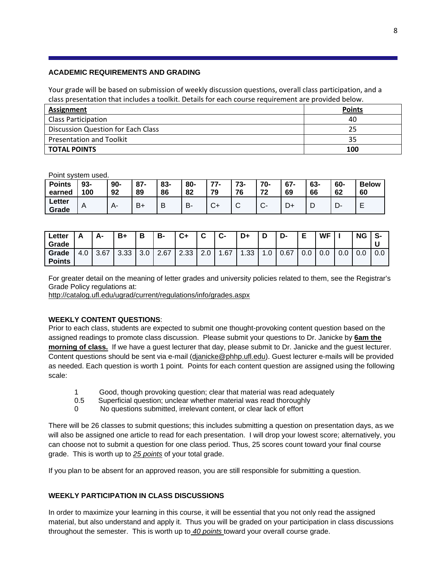## **ACADEMIC REQUIREMENTS AND GRADING**

Your grade will be based on submission of weekly discussion questions, overall class participation, and a class presentation that includes a toolkit. Details for each course requirement are provided below.

| Assignment                         | <b>Points</b> |
|------------------------------------|---------------|
| <b>Class Participation</b>         | 40            |
| Discussion Question for Each Class | 25            |
| <b>Presentation and Toolkit</b>    | 35            |
| <b>TOTAL POINTS</b>                | 100           |

Point system used.

| <b>Points</b>   | 93- | $90-$ | $87 -$ | 83- | 80- | 77.          | 73-         | $70-$       | $67 -$ | 63- | 60-    | <b>Below</b> |
|-----------------|-----|-------|--------|-----|-----|--------------|-------------|-------------|--------|-----|--------|--------------|
| earned          | 100 | 92    | 89     | 86  | 82  | 79           | 76          | 72          | 69     | 66  | 62     | 60           |
| Letter<br>Grade | A   |       | $B +$  | B   | B-  | $\sim$<br>J. | $\sim$<br>ັ | $\bullet^-$ | D+     | ┕   | −<br>− |              |

| ∟etter<br>Grade        |     | А-   | B+   | D<br>о | В-   | C+        | ◠<br>ື                       | ◠<br>ს- | D+               | ר<br>L   | D-   | F<br>▃ | <b>WF</b> |     | <b>NG</b> | S-       |
|------------------------|-----|------|------|--------|------|-----------|------------------------------|---------|------------------|----------|------|--------|-----------|-----|-----------|----------|
| Grade<br><b>Points</b> | 4.0 | 3.67 | 3.33 | 3.0    | 2.67 | 2.33<br>ົ | ⌒<br>$\mathsf{L}.\mathsf{U}$ | .67     | .33 <sub>1</sub> | л.<br>.u | 0.67 | v.v    | 0.0       | 0.0 | 0.0       | $_{0.0}$ |

For greater detail on the meaning of letter grades and university policies related to them, see the Registrar's Grade Policy regulations at:

http://catalog.ufl.edu/ugrad/current/regulations/info/grades.aspx

## **WEEKLY CONTENT QUESTIONS**:

Prior to each class, students are expected to submit one thought-provoking content question based on the assigned readings to promote class discussion. Please submit your questions to Dr. Janicke by **6am the morning of class.** If we have a guest lecturer that day, please submit to Dr. Janicke and the guest lecturer. Content questions should be sent via e-mail (djanicke@phhp.ufl.edu). Guest lecturer e-mails will be provided as needed. Each question is worth 1 point. Points for each content question are assigned using the following scale:

- 1 Good, though provoking question; clear that material was read adequately
- 0.5 Superficial question; unclear whether material was read thoroughly
- 0 No questions submitted, irrelevant content, or clear lack of effort

There will be 26 classes to submit questions; this includes submitting a question on presentation days, as we will also be assigned one article to read for each presentation. I will drop your lowest score; alternatively, you can choose not to submit a question for one class period. Thus, 25 scores count toward your final course grade. This is worth up to *25 points* of your total grade.

If you plan to be absent for an approved reason, you are still responsible for submitting a question.

## **WEEKLY PARTICIPATION IN CLASS DISCUSSIONS**

In order to maximize your learning in this course, it will be essential that you not only read the assigned material, but also understand and apply it. Thus you will be graded on your participation in class discussions throughout the semester. This is worth up to *40 points* toward your overall course grade.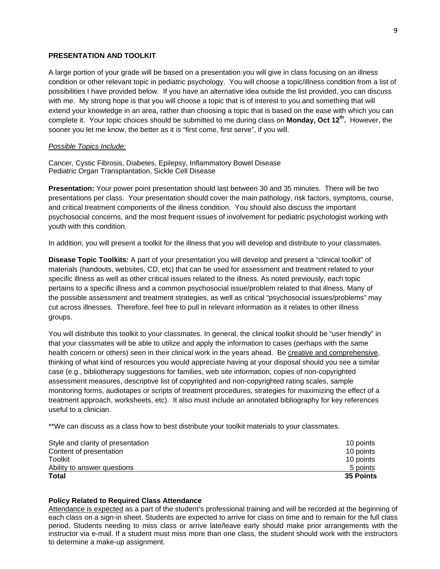## **PRESENTATION AND TOOLKIT**

A large portion of your grade will be based on a presentation you will give in class focusing on an illness condition or other relevant topic in pediatric psychology. You will choose a topic/illness condition from a list of possibilities I have provided below. If you have an alternative idea outside the list provided, you can discuss with me. My strong hope is that you will choose a topic that is of interest to you and something that will extend your knowledge in an area, rather than choosing a topic that is based on the ease with which you can complete it. Your topic choices should be submitted to me during class on **Monday, Oct 12th.** However, the sooner you let me know, the better as it is "first come, first serve", if you will.

#### *Possible Topics Include:*

Cancer, Cystic Fibrosis, Diabetes, Epilepsy, Inflammatory Bowel Disease Pediatric Organ Transplantation, Sickle Cell Disease

**Presentation:** Your power point presentation should last between 30 and 35 minutes. There will be two presentations per class. Your presentation should cover the main pathology, risk factors, symptoms, course, and critical treatment components of the illness condition. You should also discuss the important psychosocial concerns, and the most frequent issues of involvement for pediatric psychologist working with youth with this condition.

In addition, you will present a toolkit for the illness that you will develop and distribute to your classmates.

**Disease Topic Toolkits:** A part of your presentation you will develop and present a "clinical toolkit" of materials (handouts, websites, CD, etc) that can be used for assessment and treatment related to your specific illness as well as other critical issues related to the illness. As noted previously, each topic pertains to a specific illness and a common psychosocial issue/problem related to that illness. Many of the possible assessment and treatment strategies, as well as critical "psychosocial issues/problems" may cut across illnesses. Therefore, feel free to pull in relevant information as it relates to other illness groups.

You will distribute this toolkit to your classmates. In general, the clinical toolkit should be "user friendly" in that your classmates will be able to utilize and apply the information to cases (perhaps with the same health concern or others) seen in their clinical work in the years ahead. Be creative and comprehensive, thinking of what kind of resources you would appreciate having at your disposal should you see a similar case (e.g., bibliotherapy suggestions for families, web site information, copies of non-copyrighted assessment measures, descriptive list of copyrighted and non-copyrighted rating scales, sample monitoring forms, audiotapes or scripts of treatment procedures, strategies for maximizing the effect of a treatment approach, worksheets, etc). It also must include an annotated bibliography for key references useful to a clinician.

\*\*We can discuss as a class how to best distribute your toolkit materials to your classmates.

| Style and clarity of presentation | 10 points |
|-----------------------------------|-----------|
| Content of presentation           | 10 points |
| Toolkit                           | 10 points |
| Ability to answer questions       | 5 points  |
| Total                             | 35 Points |

#### **Policy Related to Required Class Attendance**

Attendance is expected as a part of the student's professional training and will be recorded at the beginning of each class on a sign-in sheet. Students are expected to arrive for class on time and to remain for the full class period. Students needing to miss class or arrive late/leave early should make prior arrangements with the instructor via e-mail. If a student must miss more than one class, the student should work with the instructors to determine a make-up assignment.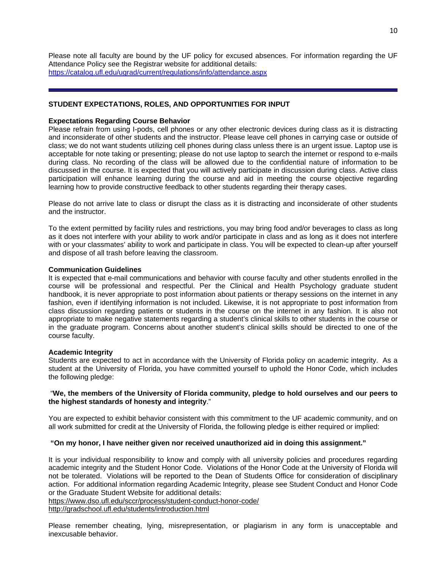Please note all faculty are bound by the UF policy for excused absences. For information regarding the UF Attendance Policy see the Registrar website for additional details: https://catalog.ufl.edu/ugrad/current/regulations/info/attendance.aspx

## **STUDENT EXPECTATIONS, ROLES, AND OPPORTUNITIES FOR INPUT**

### **Expectations Regarding Course Behavior**

Please refrain from using I-pods, cell phones or any other electronic devices during class as it is distracting and inconsiderate of other students and the instructor. Please leave cell phones in carrying case or outside of class; we do not want students utilizing cell phones during class unless there is an urgent issue. Laptop use is acceptable for note taking or presenting; please do not use laptop to search the internet or respond to e-mails during class. No recording of the class will be allowed due to the confidential nature of information to be discussed in the course. It is expected that you will actively participate in discussion during class. Active class participation will enhance learning during the course and aid in meeting the course objective regarding learning how to provide constructive feedback to other students regarding their therapy cases.

Please do not arrive late to class or disrupt the class as it is distracting and inconsiderate of other students and the instructor.

To the extent permitted by facility rules and restrictions, you may bring food and/or beverages to class as long as it does not interfere with your ability to work and/or participate in class and as long as it does not interfere with or your classmates' ability to work and participate in class. You will be expected to clean-up after yourself and dispose of all trash before leaving the classroom.

#### **Communication Guidelines**

It is expected that e-mail communications and behavior with course faculty and other students enrolled in the course will be professional and respectful. Per the Clinical and Health Psychology graduate student handbook, it is never appropriate to post information about patients or therapy sessions on the internet in any fashion, even if identifying information is not included. Likewise, it is not appropriate to post information from class discussion regarding patients or students in the course on the internet in any fashion. It is also not appropriate to make negative statements regarding a student's clinical skills to other students in the course or in the graduate program. Concerns about another student's clinical skills should be directed to one of the course faculty.

## **Academic Integrity**

Students are expected to act in accordance with the University of Florida policy on academic integrity. As a student at the University of Florida, you have committed yourself to uphold the Honor Code, which includes the following pledge:

#### "**We, the members of the University of Florida community, pledge to hold ourselves and our peers to the highest standards of honesty and integrity**."

You are expected to exhibit behavior consistent with this commitment to the UF academic community, and on all work submitted for credit at the University of Florida, the following pledge is either required or implied:

## **"On my honor, I have neither given nor received unauthorized aid in doing this assignment."**

It is your individual responsibility to know and comply with all university policies and procedures regarding academic integrity and the Student Honor Code. Violations of the Honor Code at the University of Florida will not be tolerated. Violations will be reported to the Dean of Students Office for consideration of disciplinary action. For additional information regarding Academic Integrity, please see Student Conduct and Honor Code or the Graduate Student Website for additional details:

https://www.dso.ufl.edu/sccr/process/student-conduct-honor-code/ http://gradschool.ufl.edu/students/introduction.html

Please remember cheating, lying, misrepresentation, or plagiarism in any form is unacceptable and inexcusable behavior.